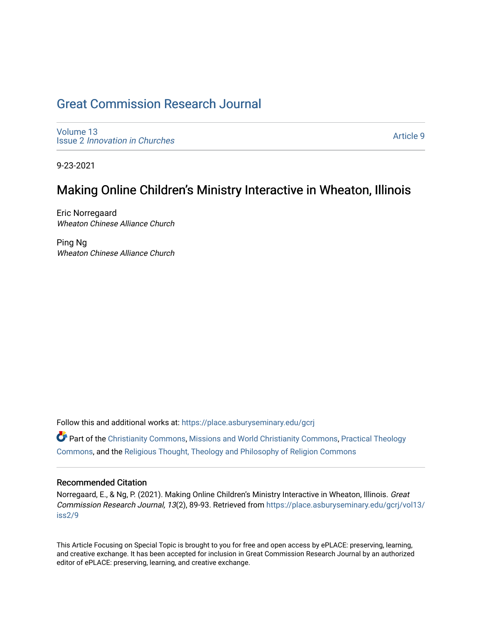## [Great Commission Research Journal](https://place.asburyseminary.edu/gcrj)

[Volume 13](https://place.asburyseminary.edu/gcrj/vol13) Issue 2 [Innovation in Churches](https://place.asburyseminary.edu/gcrj/vol13/iss2)

[Article 9](https://place.asburyseminary.edu/gcrj/vol13/iss2/9) 

9-23-2021

### Making Online Children's Ministry Interactive in Wheaton, Illinois

Eric Norregaard Wheaton Chinese Alliance Church

Ping Ng Wheaton Chinese Alliance Church

Follow this and additional works at: [https://place.asburyseminary.edu/gcrj](https://place.asburyseminary.edu/gcrj?utm_source=place.asburyseminary.edu%2Fgcrj%2Fvol13%2Fiss2%2F9&utm_medium=PDF&utm_campaign=PDFCoverPages) 

 $\bullet$  Part of the [Christianity Commons,](http://network.bepress.com/hgg/discipline/1181?utm_source=place.asburyseminary.edu%2Fgcrj%2Fvol13%2Fiss2%2F9&utm_medium=PDF&utm_campaign=PDFCoverPages) [Missions and World Christianity Commons](http://network.bepress.com/hgg/discipline/1187?utm_source=place.asburyseminary.edu%2Fgcrj%2Fvol13%2Fiss2%2F9&utm_medium=PDF&utm_campaign=PDFCoverPages), Practical Theology [Commons](http://network.bepress.com/hgg/discipline/1186?utm_source=place.asburyseminary.edu%2Fgcrj%2Fvol13%2Fiss2%2F9&utm_medium=PDF&utm_campaign=PDFCoverPages), and the [Religious Thought, Theology and Philosophy of Religion Commons](http://network.bepress.com/hgg/discipline/544?utm_source=place.asburyseminary.edu%2Fgcrj%2Fvol13%2Fiss2%2F9&utm_medium=PDF&utm_campaign=PDFCoverPages) 

#### Recommended Citation

Norregaard, E., & Ng, P. (2021). Making Online Children's Ministry Interactive in Wheaton, Illinois. Great Commission Research Journal, 13(2), 89-93. Retrieved from [https://place.asburyseminary.edu/gcrj/vol13/](https://place.asburyseminary.edu/gcrj/vol13/iss2/9?utm_source=place.asburyseminary.edu%2Fgcrj%2Fvol13%2Fiss2%2F9&utm_medium=PDF&utm_campaign=PDFCoverPages) [iss2/9](https://place.asburyseminary.edu/gcrj/vol13/iss2/9?utm_source=place.asburyseminary.edu%2Fgcrj%2Fvol13%2Fiss2%2F9&utm_medium=PDF&utm_campaign=PDFCoverPages)

This Article Focusing on Special Topic is brought to you for free and open access by ePLACE: preserving, learning, and creative exchange. It has been accepted for inclusion in Great Commission Research Journal by an authorized editor of ePLACE: preserving, learning, and creative exchange.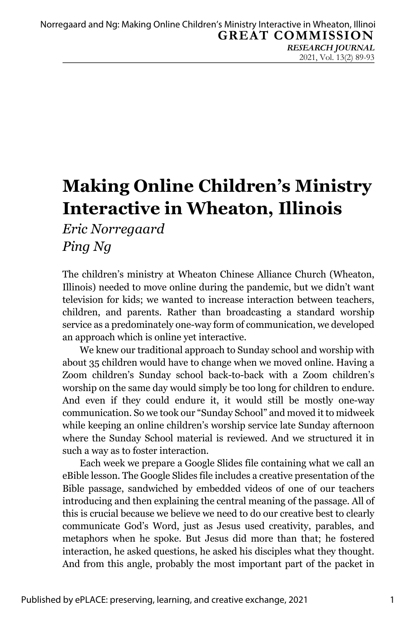# **Making Online Children's Ministry Interactive in Wheaton, Illinois**

*Eric Norregaard Ping Ng*

The children's ministry at Wheaton Chinese Alliance Church (Wheaton, Illinois) needed to move online during the pandemic, but we didn't want television for kids; we wanted to increase interaction between teachers, children, and parents. Rather than broadcasting a standard worship service as a predominately one-way form of communication, we developed an approach which is online yet interactive.

We knew our traditional approach to Sunday school and worship with about 35 children would have to change when we moved online. Having a Zoom children's Sunday school back-to-back with a Zoom children's worship on the same day would simply be too long for children to endure. And even if they could endure it, it would still be mostly one-way communication. So we took our "Sunday School" and moved it to midweek while keeping an online children's worship service late Sunday afternoon where the Sunday School material is reviewed. And we structured it in such a way as to foster interaction.

Each week we prepare a Google Slides file containing what we call an eBible lesson. The Google Slides file includes a creative presentation of the Bible passage, sandwiched by embedded videos of one of our teachers introducing and then explaining the central meaning of the passage. All of this is crucial because we believe we need to do our creative best to clearly communicate God's Word, just as Jesus used creativity, parables, and metaphors when he spoke. But Jesus did more than that; he fostered interaction, he asked questions, he asked his disciples what they thought. And from this angle, probably the most important part of the packet in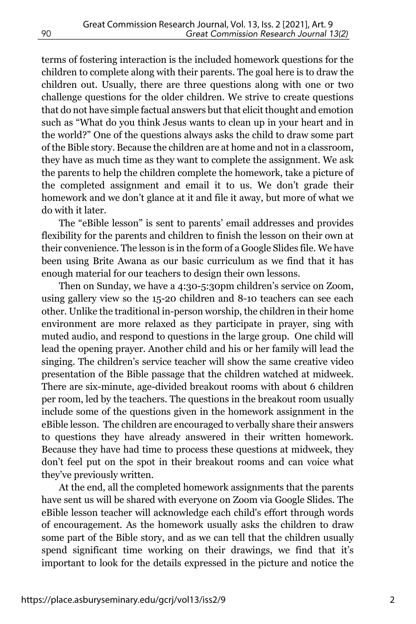terms of fostering interaction is the included homework questions for the children to complete along with their parents. The goal here is to draw the children out. Usually, there are three questions along with one or two challenge questions for the older children. We strive to create questions that do not have simple factual answers but that elicit thought and emotion such as "What do you think Jesus wants to clean up in your heart and in the world?" One of the questions always asks the child to draw some part of the Bible story. Because the children are at home and not in a classroom, they have as much time as they want to complete the assignment. We ask the parents to help the children complete the homework, take a picture of the completed assignment and email it to us. We don't grade their homework and we don't glance at it and file it away, but more of what we do with it later.

The "eBible lesson" is sent to parents' email addresses and provides flexibility for the parents and children to finish the lesson on their own at their convenience. The lesson is in the form of a Google Slides file. We have been using Brite Awana as our basic curriculum as we find that it has enough material for our teachers to design their own lessons.

Then on Sunday, we have a 4:30-5:30pm children's service on Zoom, using gallery view so the 15-20 children and 8-10 teachers can see each other. Unlike the traditional in-person worship, the children in their home environment are more relaxed as they participate in prayer, sing with muted audio, and respond to questions in the large group. One child will lead the opening prayer. Another child and his or her family will lead the singing. The children's service teacher will show the same creative video presentation of the Bible passage that the children watched at midweek. There are six-minute, age-divided breakout rooms with about 6 children per room, led by the teachers. The questions in the breakout room usually include some of the questions given in the homework assignment in the eBible lesson. The children are encouraged to verbally share their answers to questions they have already answered in their written homework. Because they have had time to process these questions at midweek, they don't feel put on the spot in their breakout rooms and can voice what they've previously written.

At the end, all the completed homework assignments that the parents have sent us will be shared with everyone on Zoom via Google Slides. The eBible lesson teacher will acknowledge each child's effort through words of encouragement. As the homework usually asks the children to draw some part of the Bible story, and as we can tell that the children usually spend significant time working on their drawings, we find that it's important to look for the details expressed in the picture and notice the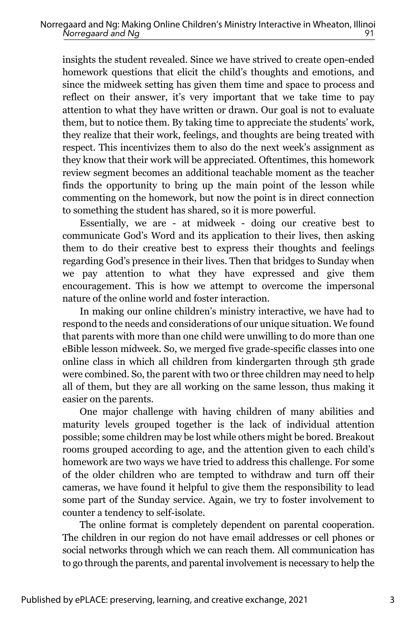insights the student revealed. Since we have strived to create open-ended homework questions that elicit the child's thoughts and emotions, and since the midweek setting has given them time and space to process and reflect on their answer, it's very important that we take time to pay attention to what they have written or drawn. Our goal is not to evaluate them, but to notice them. By taking time to appreciate the students' work, they realize that their work, feelings, and thoughts are being treated with respect. This incentivizes them to also do the next week's assignment as they know that their work will be appreciated. Oftentimes, this homework review segment becomes an additional teachable moment as the teacher finds the opportunity to bring up the main point of the lesson while commenting on the homework, but now the point is in direct connection to something the student has shared, so it is more powerful.

Essentially, we are - at midweek - doing our creative best to communicate God's Word and its application to their lives, then asking them to do their creative best to express their thoughts and feelings regarding God's presence in their lives. Then that bridges to Sunday when we pay attention to what they have expressed and give them encouragement. This is how we attempt to overcome the impersonal nature of the online world and foster interaction.

In making our online children's ministry interactive, we have had to respond to the needs and considerations of our unique situation. We found that parents with more than one child were unwilling to do more than one eBible lesson midweek. So, we merged five grade-specific classes into one online class in which all children from kindergarten through 5th grade were combined. So, the parent with two or three children may need to help all of them, but they are all working on the same lesson, thus making it easier on the parents.

One major challenge with having children of many abilities and maturity levels grouped together is the lack of individual attention possible; some children may be lost while others might be bored. Breakout rooms grouped according to age, and the attention given to each child's homework are two ways we have tried to address this challenge. For some of the older children who are tempted to withdraw and turn off their cameras, we have found it helpful to give them the responsibility to lead some part of the Sunday service. Again, we try to foster involvement to counter a tendency to self-isolate.

The online format is completely dependent on parental cooperation. The children in our region do not have email addresses or cell phones or social networks through which we can reach them. All communication has to go through the parents, and parental involvement is necessary to help the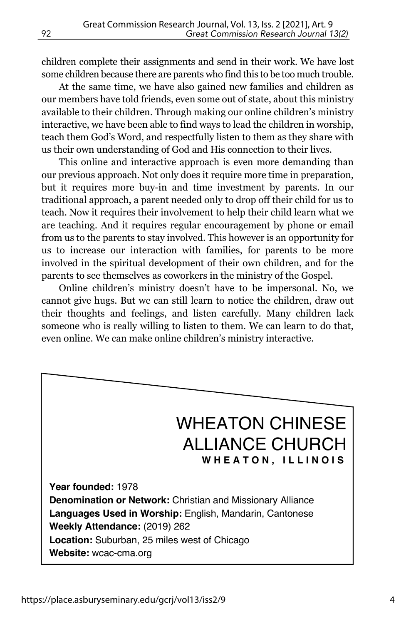children complete their assignments and send in their work. We have lost some children because there are parents who find this to be too much trouble.

At the same time, we have also gained new families and children as our members have told friends, even some out of state, about this ministry available to their children. Through making our online children's ministry interactive, we have been able to find ways to lead the children in worship, teach them God's Word, and respectfully listen to them as they share with us their own understanding of God and His connection to their lives.

This online and interactive approach is even more demanding than our previous approach. Not only does it require more time in preparation, but it requires more buy-in and time investment by parents. In our traditional approach, a parent needed only to drop off their child for us to teach. Now it requires their involvement to help their child learn what we are teaching. And it requires regular encouragement by phone or email from us to the parents to stay involved. This however is an opportunity for us to increase our interaction with families, for parents to be more involved in the spiritual development of their own children, and for the parents to see themselves as coworkers in the ministry of the Gospel.

Online children's ministry doesn't have to be impersonal. No, we cannot give hugs. But we can still learn to notice the children, draw out their thoughts and feelings, and listen carefully. Many children lack someone who is really willing to listen to them. We can learn to do that, even online. We can make online children's ministry interactive.

### WHEATON CHINESE ALLIANCE CHURCH **WHEATON, ILLINOIS**

**Year founded:** 1978 **Denomination or Network:** Christian and Missionary Alliance **Languages Used in Worship:** English, Mandarin, Cantonese **Weekly Attendance:** (2019) 262 **Location:** Suburban, 25 miles west of Chicago **Website:** wcac-cma.org